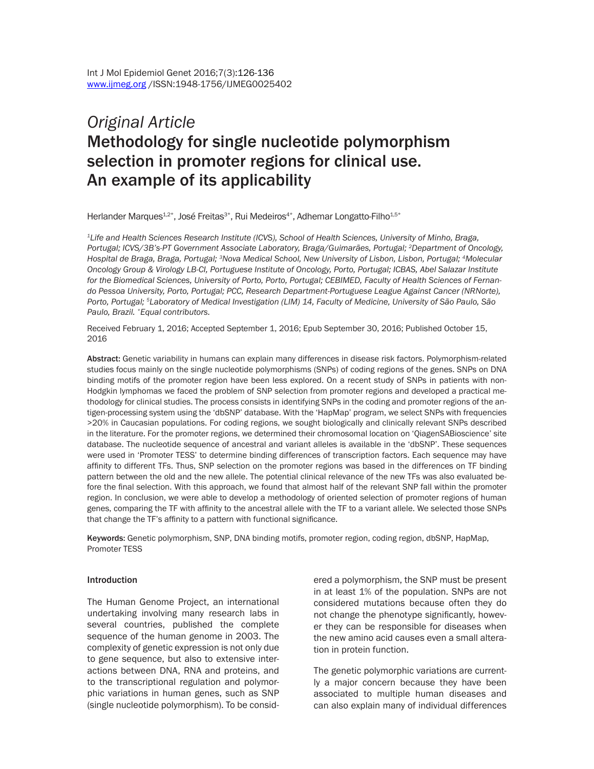# *Original Article* Methodology for single nucleotide polymorphism selection in promoter regions for clinical use. An example of its applicability

Herlander Marques<sup>1,2\*</sup>, José Freitas<sup>3\*</sup>, Rui Medeiros<sup>4\*</sup>, Adhemar Longatto-Filho<sup>1,5\*</sup>

*1Life and Health Sciences Research Institute (ICVS), School of Health Sciences, University of Minho, Braga, Portugal; ICVS/3B's-PT Government Associate Laboratory, Braga/Guimarães, Portugal; 2Department of Oncology, Hospital de Braga, Braga, Portugal; 3Nova Medical School, New University of Lisbon, Lisbon, Portugal; 4Molecular Oncology Group & Virology LB-CI, Portuguese Institute of Oncology, Porto, Portugal; ICBAS, Abel Salazar Institute for the Biomedical Sciences, University of Porto, Porto, Portugal; CEBIMED, Faculty of Health Sciences of Fernando Pessoa University, Porto, Portugal; PCC, Research Department-Portuguese League Against Cancer (NRNorte), Porto, Portugal; 5Laboratory of Medical Investigation (LIM) 14, Faculty of Medicine, University of São Paulo, São Paulo, Brazil. \*Equal contributors.*

Received February 1, 2016; Accepted September 1, 2016; Epub September 30, 2016; Published October 15, 2016

Abstract: Genetic variability in humans can explain many differences in disease risk factors. Polymorphism-related studies focus mainly on the single nucleotide polymorphisms (SNPs) of coding regions of the genes. SNPs on DNA binding motifs of the promoter region have been less explored. On a recent study of SNPs in patients with non-Hodgkin lymphomas we faced the problem of SNP selection from promoter regions and developed a practical methodology for clinical studies. The process consists in identifying SNPs in the coding and promoter regions of the antigen-processing system using the 'dbSNP' database. With the 'HapMap' program, we select SNPs with frequencies >20% in Caucasian populations. For coding regions, we sought biologically and clinically relevant SNPs described in the literature. For the promoter regions, we determined their chromosomal location on 'QiagenSABioscience' site database. The nucleotide sequence of ancestral and variant alleles is available in the 'dbSNP'. These sequences were used in 'Promoter TESS' to determine binding differences of transcription factors. Each sequence may have affinity to different TFs. Thus, SNP selection on the promoter regions was based in the differences on TF binding pattern between the old and the new allele. The potential clinical relevance of the new TFs was also evaluated before the final selection. With this approach, we found that almost half of the relevant SNP fall within the promoter region. In conclusion, we were able to develop a methodology of oriented selection of promoter regions of human genes, comparing the TF with affinity to the ancestral allele with the TF to a variant allele. We selected those SNPs that change the TF's affinity to a pattern with functional significance.

Keywords: Genetic polymorphism, SNP, DNA binding motifs, promoter region, coding region, dbSNP, HapMap, Promoter TESS

#### Introduction

The Human Genome Project, an international undertaking involving many research labs in several countries, published the complete sequence of the human genome in 2003. The complexity of genetic expression is not only due to gene sequence, but also to extensive interactions between DNA, RNA and proteins, and to the transcriptional regulation and polymorphic variations in human genes, such as SNP (single nucleotide polymorphism). To be considered a polymorphism, the SNP must be present in at least 1% of the population. SNPs are not considered mutations because often they do not change the phenotype significantly, however they can be responsible for diseases when the new amino acid causes even a small alteration in protein function.

The genetic polymorphic variations are currently a major concern because they have been associated to multiple human diseases and can also explain many of individual differences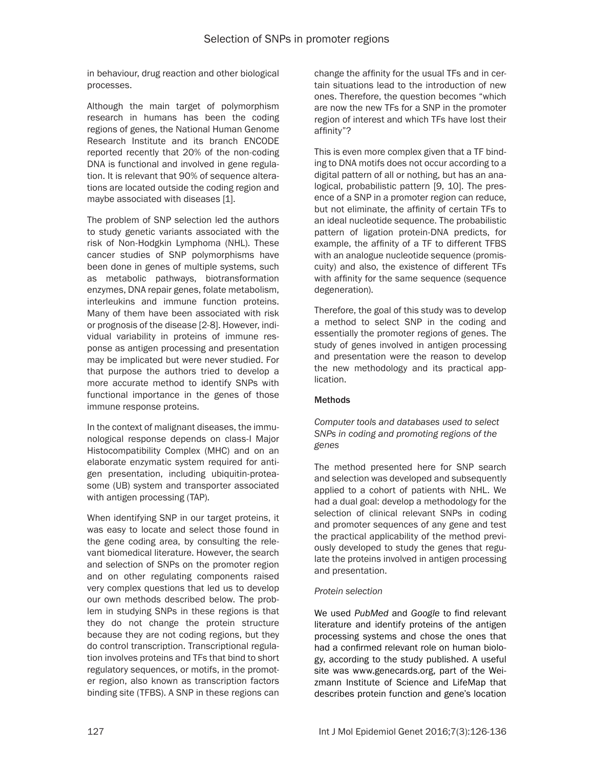in behaviour, drug reaction and other biological processes.

Although the main target of polymorphism research in humans has been the coding regions of genes, the National Human Genome Research Institute and its branch ENCODE reported recently that 20% of the non-coding DNA is functional and involved in gene regulation. It is relevant that 90% of sequence alterations are located outside the coding region and maybe associated with diseases [1].

The problem of SNP selection led the authors to study genetic variants associated with the risk of Non-Hodgkin Lymphoma (NHL). These cancer studies of SNP polymorphisms have been done in genes of multiple systems, such as metabolic pathways, biotransformation enzymes, DNA repair genes, folate metabolism, interleukins and immune function proteins. Many of them have been associated with risk or prognosis of the disease [2-8]. However, individual variability in proteins of immune response as antigen processing and presentation may be implicated but were never studied. For that purpose the authors tried to develop a more accurate method to identify SNPs with functional importance in the genes of those immune response proteins.

In the context of malignant diseases, the immunological response depends on class-I Major Histocompatibility Complex (MHC) and on an elaborate enzymatic system required for antigen presentation, including ubiquitin-proteasome (UB) system and transporter associated with antigen processing (TAP).

When identifying SNP in our target proteins, it was easy to locate and select those found in the gene coding area, by consulting the relevant biomedical literature. However, the search and selection of SNPs on the promoter region and on other regulating components raised very complex questions that led us to develop our own methods described below. The problem in studying SNPs in these regions is that they do not change the protein structure because they are not coding regions, but they do control transcription. Transcriptional regulation involves proteins and TFs that bind to short regulatory sequences, or motifs, in the promoter region, also known as transcription factors binding site (TFBS). A SNP in these regions can

change the affinity for the usual TFs and in certain situations lead to the introduction of new ones. Therefore, the question becomes "which are now the new TFs for a SNP in the promoter region of interest and which TFs have lost their affinity"?

This is even more complex given that a TF binding to DNA motifs does not occur according to a digital pattern of all or nothing, but has an analogical, probabilistic pattern [9, 10]. The presence of a SNP in a promoter region can reduce, but not eliminate, the affinity of certain TFs to an ideal nucleotide sequence. The probabilistic pattern of ligation protein-DNA predicts, for example, the affinity of a TF to different TFBS with an analogue nucleotide sequence (promiscuity) and also, the existence of different TFs with affinity for the same sequence (sequence degeneration).

Therefore, the goal of this study was to develop a method to select SNP in the coding and essentially the promoter regions of genes. The study of genes involved in antigen processing and presentation were the reason to develop the new methodology and its practical application.

# **Methods**

*Computer tools and databases used to select SNPs in coding and promoting regions of the genes*

The method presented here for SNP search and selection was developed and subsequently applied to a cohort of patients with NHL. We had a dual goal: develop a methodology for the selection of clinical relevant SNPs in coding and promoter sequences of any gene and test the practical applicability of the method previously developed to study the genes that regulate the proteins involved in antigen processing and presentation.

# *Protein selection*

We used *PubMed* and *Google* to find relevant literature and identify proteins of the antigen processing systems and chose the ones that had a confirmed relevant role on human biology, according to the study published. A useful site was www.genecards.org, part of the Weizmann Institute of Science and LifeMap that describes protein function and gene's location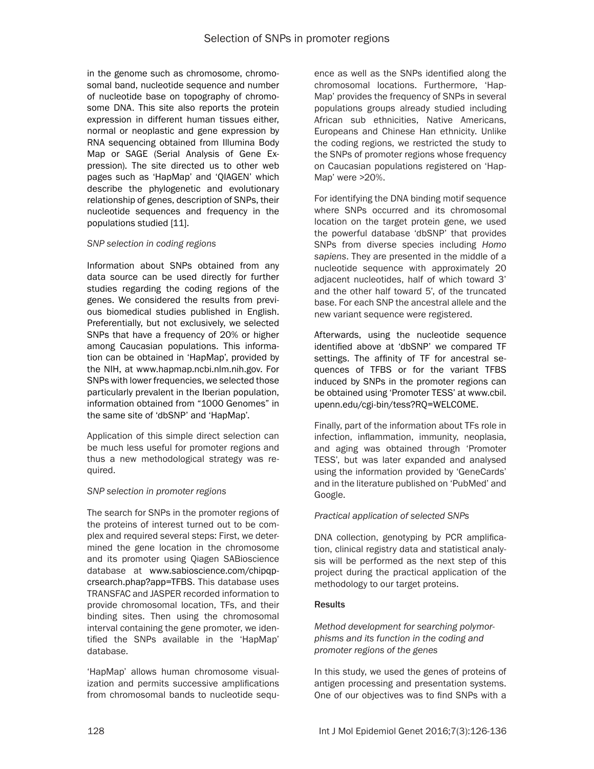in the genome such as chromosome, chromosomal band, nucleotide sequence and number of nucleotide base on topography of chromosome DNA. This site also reports the protein expression in different human tissues either, normal or neoplastic and gene expression by RNA sequencing obtained from Illumina Body Map or SAGE (Serial Analysis of Gene Expression). The site directed us to other web pages such as 'HapMap' and 'QIAGEN' which describe the phylogenetic and evolutionary relationship of genes, description of SNPs, their nucleotide sequences and frequency in the populations studied [11].

# *SNP selection in coding regions*

Information about SNPs obtained from any data source can be used directly for further studies regarding the coding regions of the genes. We considered the results from previous biomedical studies published in English. Preferentially, but not exclusively, we selected SNPs that have a frequency of 20% or higher among Caucasian populations. This information can be obtained in 'HapMap', provided by the NIH, at www.hapmap.ncbi.nlm.nih.gov. For SNPs with lower frequencies, we selected those particularly prevalent in the Iberian population, information obtained from "1000 Genomes" in the same site of 'dbSNP' and 'HapMap'.

Application of this simple direct selection can be much less useful for promoter regions and thus a new methodological strategy was required.

# *SNP selection in promoter regions*

The search for SNPs in the promoter regions of the proteins of interest turned out to be complex and required several steps: First, we determined the gene location in the chromosome and its promoter using Qiagen SABioscience database at www.sabioscience.com/chipqpcrsearch.phap?app=TFBS. This database uses TRANSFAC and JASPER recorded information to provide chromosomal location, TFs, and their binding sites. Then using the chromosomal interval containing the gene promoter, we identified the SNPs available in the 'HapMap' database.

'HapMap' allows human chromosome visualization and permits successive amplifications from chromosomal bands to nucleotide sequence as well as the SNPs identified along the chromosomal locations. Furthermore, 'Hap-Map' provides the frequency of SNPs in several populations groups already studied including African sub ethnicities, Native Americans, Europeans and Chinese Han ethnicity. Unlike the coding regions, we restricted the study to the SNPs of promoter regions whose frequency on Caucasian populations registered on 'Hap-Map' were >20%.

For identifying the DNA binding motif sequence where SNPs occurred and its chromosomal location on the target protein gene, we used the powerful database 'dbSNP' that provides SNPs from diverse species including *Homo sapiens*. They are presented in the middle of a nucleotide sequence with approximately 20 adjacent nucleotides, half of which toward 3' and the other half toward 5', of the truncated base. For each SNP the ancestral allele and the new variant sequence were registered.

Afterwards, using the nucleotide sequence identified above at 'dbSNP' we compared TF settings. The affinity of TF for ancestral sequences of TFBS or for the variant TFBS induced by SNPs in the promoter regions can be obtained using 'Promoter TESS' at www.cbil. upenn.edu/cgi-bin/tess?RQ=WELCOME.

Finally, part of the information about TFs role in infection, inflammation, immunity, neoplasia, and aging was obtained through 'Promoter TESS', but was later expanded and analysed using the information provided by 'GeneCards' and in the literature published on 'PubMed' and Google.

# *Practical application of selected SNPs*

DNA collection, genotyping by PCR amplification, clinical registry data and statistical analysis will be performed as the next step of this project during the practical application of the methodology to our target proteins.

# **Results**

*Method development for searching polymorphisms and its function in the coding and promoter regions of the genes*

In this study, we used the genes of proteins of antigen processing and presentation systems. One of our objectives was to find SNPs with a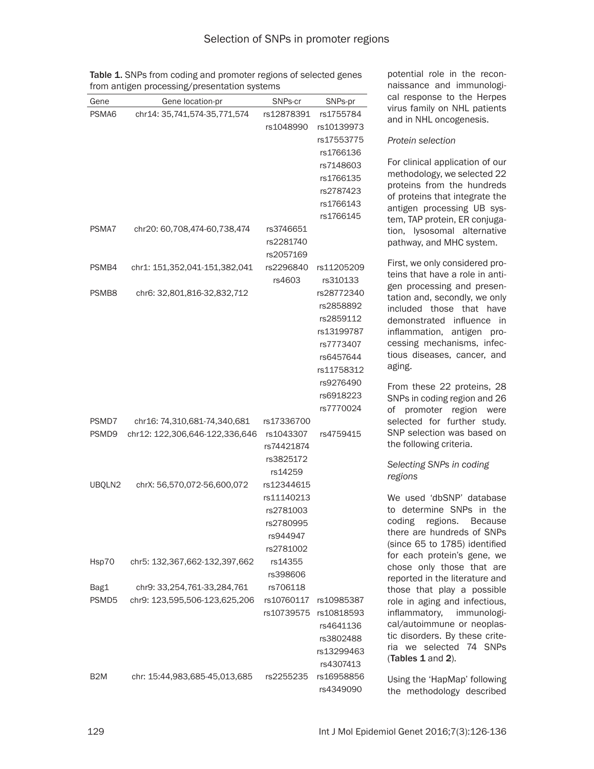potential role in the recon-

|                  | from antigen processing/presentation systems |            | naissance and immunologi- |                                                               |  |  |
|------------------|----------------------------------------------|------------|---------------------------|---------------------------------------------------------------|--|--|
| Gene             | Gene location-pr                             | SNPs-cr    | SNPs-pr                   | cal response to the Herpes                                    |  |  |
| PSMA6            | chr14: 35,741,574-35,771,574                 | rs12878391 | rs1755784                 | virus family on NHL patients                                  |  |  |
|                  |                                              | rs1048990  | rs10139973                | and in NHL oncogenesis.                                       |  |  |
|                  |                                              |            | rs17553775                | Protein selection                                             |  |  |
|                  |                                              |            | rs1766136                 |                                                               |  |  |
|                  |                                              |            | rs7148603                 | For clinical application of our                               |  |  |
|                  |                                              |            | rs1766135                 | methodology, we selected 22                                   |  |  |
|                  |                                              |            | rs2787423                 | proteins from the hundreds                                    |  |  |
|                  |                                              |            | rs1766143                 | of proteins that integrate the                                |  |  |
|                  |                                              |            | rs1766145                 | antigen processing UB sys-<br>tem, TAP protein, ER conjuga-   |  |  |
| PSMA7            | chr20: 60,708,474-60,738,474                 | rs3746651  |                           | tion, lysosomal alternative                                   |  |  |
|                  |                                              | rs2281740  |                           | pathway, and MHC system.                                      |  |  |
|                  |                                              | rs2057169  |                           |                                                               |  |  |
| PSMB4            | chr1: 151,352,041-151,382,041                | rs2296840  | rs11205209                | First, we only considered pro-                                |  |  |
|                  |                                              | rs4603     | rs310133                  | teins that have a role in anti-                               |  |  |
| PSMB8            | chr6: 32,801,816-32,832,712                  |            | rs28772340                | gen processing and presen-                                    |  |  |
|                  |                                              |            | rs2858892                 | tation and, secondly, we only<br>included those that have     |  |  |
|                  |                                              |            | rs2859112                 | demonstrated influence in                                     |  |  |
|                  |                                              |            | rs13199787                | inflammation, antigen pro-                                    |  |  |
|                  |                                              |            | rs7773407                 | cessing mechanisms, infec-                                    |  |  |
|                  |                                              |            | rs6457644                 | tious diseases, cancer, and                                   |  |  |
|                  |                                              |            | rs11758312                | aging.                                                        |  |  |
|                  |                                              |            | rs9276490                 |                                                               |  |  |
|                  |                                              |            | rs6918223                 | From these 22 proteins, 28                                    |  |  |
|                  |                                              |            | rs7770024                 | SNPs in coding region and 26<br>promoter region<br>of<br>were |  |  |
| PSMD7            | chr16: 74,310,681-74,340,681                 | rs17336700 |                           | selected for further study.                                   |  |  |
| PSMD9            | chr12: 122,306,646-122,336,646               | rs1043307  | rs4759415                 | SNP selection was based on                                    |  |  |
|                  |                                              | rs74421874 |                           | the following criteria.                                       |  |  |
|                  |                                              | rs3825172  |                           |                                                               |  |  |
|                  |                                              | rs14259    |                           | Selecting SNPs in coding                                      |  |  |
| UBQLN2           | chrX: 56,570,072-56,600,072                  | rs12344615 |                           | regions                                                       |  |  |
|                  |                                              | rs11140213 |                           | We used 'dbSNP' database                                      |  |  |
|                  |                                              | rs2781003  |                           | to determine SNPs in the                                      |  |  |
|                  |                                              | rs2780995  |                           | coding<br>regions.<br>Because                                 |  |  |
|                  |                                              | rs944947   |                           | there are hundreds of SNPs                                    |  |  |
|                  |                                              | rs2781002  |                           | (since 65 to 1785) identified                                 |  |  |
| Hsp70            | chr5: 132,367,662-132,397,662                | rs14355    |                           | for each protein's gene, we                                   |  |  |
|                  |                                              | rs398606   |                           | chose only those that are                                     |  |  |
| Bag1             | chr9: 33,254,761-33,284,761                  | rs706118   |                           | reported in the literature and<br>those that play a possible  |  |  |
| PSMD5            | chr9: 123,595,506-123,625,206                | rs10760117 | rs10985387                | role in aging and infectious,                                 |  |  |
|                  |                                              | rs10739575 | rs10818593                | inflammatory,<br>immunologi-                                  |  |  |
|                  |                                              |            | rs4641136                 | cal/autoimmune or neoplas-                                    |  |  |
|                  |                                              |            | rs3802488                 | tic disorders. By these crite-                                |  |  |
|                  |                                              |            | rs13299463                | ria we selected 74 SNPs                                       |  |  |
|                  |                                              |            | rs4307413                 | (Tables 1 and 2).                                             |  |  |
| B <sub>2</sub> M | chr: 15:44,983,685-45,013,685                | rs2255235  | rs16958856                | Using the 'HapMap' following                                  |  |  |
|                  |                                              |            | rs4349090                 | the methodology described                                     |  |  |

Table 1. SNPs from coding and promoter regions of selected genes from antigen processing/presentation systems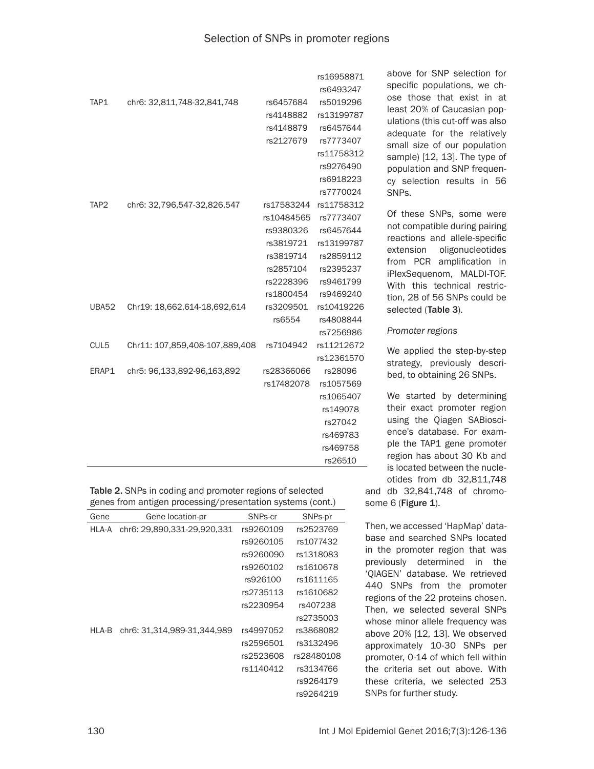|                  |                                |            | rs16958871 | a              |
|------------------|--------------------------------|------------|------------|----------------|
|                  |                                |            | rs6493247  | S              |
| TAP1             | chr6: 32,811,748-32,841,748    | rs6457684  | rs5019296  | O.             |
|                  |                                | rs4148882  | rs13199787 | le             |
|                  |                                | rs4148879  | rs6457644  | U              |
|                  |                                | rs2127679  | rs7773407  | a<br>SI        |
|                  |                                |            | rs11758312 | Si             |
|                  |                                |            | rs9276490  | р              |
|                  |                                |            | rs6918223  | C)             |
|                  |                                |            | rs7770024  | S              |
| TAP <sub>2</sub> | chr6: 32,796,547-32,826,547    | rs17583244 | rs11758312 |                |
|                  |                                | rs10484565 | rs7773407  | 0              |
|                  |                                | rs9380326  | rs6457644  | n              |
|                  |                                | rs3819721  | rs13199787 | re             |
|                  |                                | rs3819714  | rs2859112  | e:<br>fr       |
|                  |                                | rs2857104  | rs2395237  | iF             |
|                  |                                | rs2228396  | rs9461799  | N              |
|                  |                                | rs1800454  | rs9469240  | ti             |
| <b>UBA52</b>     | Chr19: 18,662,614-18,692,614   | rs3209501  | rs10419226 | S(             |
|                  |                                | rs6554     | rs4808844  |                |
|                  |                                |            | rs7256986  | P              |
| CUL5             | Chr11: 107,859,408-107,889,408 | rs7104942  | rs11212672 | N              |
|                  |                                |            | rs12361570 | S <sup>t</sup> |
| ERAP1            | chr5: 96,133,892-96,163,892    | rs28366066 | rs28096    | b              |
|                  |                                | rs17482078 | rs1057569  |                |
|                  |                                |            | rs1065407  | N              |
|                  |                                |            | rs149078   | tł             |
|                  |                                |            | rs27042    | U.             |
|                  |                                |            | rs469783   | е              |
|                  |                                |            | rs469758   | p              |
|                  |                                |            | rs26510    | re             |

Table 2. SNPs in coding and promoter regions of selected genes from antigen processing/presentation systems (cont.)

| Gene  | Gene location-pr            | SNPs-cr   | SNPs-pr    |
|-------|-----------------------------|-----------|------------|
| HLA-A | chr6: 29,890,331-29,920,331 | rs9260109 | rs2523769  |
|       |                             | rs9260105 | rs1077432  |
|       |                             | rs9260090 | rs1318083  |
|       |                             | rs9260102 | rs1610678  |
|       |                             | rs926100  | rs1611165  |
|       |                             | rs2735113 | rs1610682  |
|       |                             | rs2230954 | rs407238   |
|       |                             |           | rs2735003  |
| HLA-B | chr6: 31,314,989-31,344,989 | rs4997052 | rs3868082  |
|       |                             | rs2596501 | rs3132496  |
|       |                             | rs2523608 | rs28480108 |
|       |                             | rs1140412 | rs3134766  |
|       |                             |           | rs9264179  |
|       |                             |           | rs9264219  |

above for SNP selection for pecific populations, we chse those that exist in at least 20% of Caucasian poplations (this cut-off was also dequate for the relatively mall size of our population ample) [12, 13]. The type of opulation and SNP frequeny selection results in 56 iNPs.

Of these SNPs, some were ot compatible during pairing eactions and allele-specific xtension oligonucleotides om PCR amplification in PlexSequenom, MALDI-TOF. With this technical restricon, 28 of 56 SNPs could be elected (Table 3).

### *Promoter regions*

We applied the step-by-step trategy, previously descried, to obtaining 26 SNPs.

We started by determining heir exact promoter region sing the Qiagen SABioscince's database. For examle the TAP1 gene promoter egion has about 30 Kb and is located between the nucleotides from db 32,811,748 and db 32,841,748 of chromosome 6 (Figure 1).

Then, we accessed 'HapMap' database and searched SNPs located in the promoter region that was previously determined in the 'QIAGEN' database. We retrieved 440 SNPs from the promoter regions of the 22 proteins chosen. Then, we selected several SNPs whose minor allele frequency was above 20% [12, 13]. We observed approximately 10-30 SNPs per promoter, 0-14 of which fell within the criteria set out above. With these criteria, we selected 253 SNPs for further study.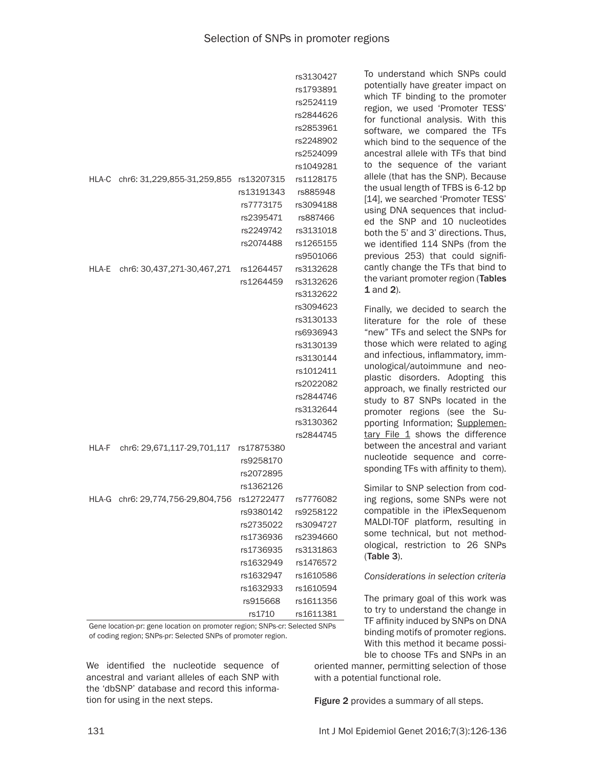|       |                                              |                                                                                          | rs3130427<br>rs1793891<br>rs2524119<br>rs2844626<br>rs2853961<br>rs2248902<br>rs2524099                                                     | To understand which SNPs could<br>potentially have greater impact on<br>which TF binding to the promoter<br>region, we used 'Promoter TESS'<br>for functional analysis. With this<br>software, we compared the TFs<br>which bind to the sequence of the<br>ancestral allele with TFs that bind<br>to the sequence of the variant                                                                                                               |
|-------|----------------------------------------------|------------------------------------------------------------------------------------------|---------------------------------------------------------------------------------------------------------------------------------------------|------------------------------------------------------------------------------------------------------------------------------------------------------------------------------------------------------------------------------------------------------------------------------------------------------------------------------------------------------------------------------------------------------------------------------------------------|
|       | HLA-C chr6: 31,229,855-31,259,855 rs13207315 | rs13191343<br>rs7773175<br>rs2395471<br>rs2249742<br>rs2074488                           | rs1049281<br>rs1128175<br>rs885948<br>rs3094188<br>rs887466<br>rs3131018<br>rs1265155<br>rs9501066                                          | allele (that has the SNP). Because<br>the usual length of TFBS is 6-12 bp<br>[14], we searched 'Promoter TESS'<br>using DNA sequences that includ-<br>ed the SNP and 10 nucleotides<br>both the 5' and 3' directions. Thus,<br>we identified 114 SNPs (from the<br>previous 253) that could signifi-                                                                                                                                           |
| HLA-E | chr6: 30,437,271-30,467,271                  | rs1264457<br>rs1264459                                                                   | rs3132628<br>rs3132626<br>rs3132622                                                                                                         | cantly change the TFs that bind to<br>the variant promoter region (Tables<br>1 and 2).                                                                                                                                                                                                                                                                                                                                                         |
|       |                                              |                                                                                          | rs3094623<br>rs3130133<br>rs6936943<br>rs3130139<br>rs3130144<br>rs1012411<br>rs2022082<br>rs2844746<br>rs3132644<br>rs3130362<br>rs2844745 | Finally, we decided to search the<br>literature for the role of these<br>"new" TFs and select the SNPs for<br>those which were related to aging<br>and infectious, inflammatory, imm-<br>unological/autoimmune and neo-<br>plastic disorders. Adopting this<br>approach, we finally restricted our<br>study to 87 SNPs located in the<br>promoter regions (see the Su-<br>pporting Information; Supplemen-<br>tary File 1 shows the difference |
| HLA-F | chr6: 29,671,117-29,701,117                  | rs17875380<br>rs9258170<br>rs2072895                                                     |                                                                                                                                             | between the ancestral and variant<br>nucleotide sequence and corre-<br>sponding TFs with affinity to them).                                                                                                                                                                                                                                                                                                                                    |
|       | HLA-G chr6: 29,774,756-29,804,756            | rs1362126<br>rs12722477<br>rs9380142<br>rs2735022<br>rs1736936<br>rs1736935<br>rs1632949 | rs7776082<br>rs9258122<br>rs3094727<br>rs2394660<br>rs3131863<br>rs1476572                                                                  | Similar to SNP selection from cod-<br>ing regions, some SNPs were not<br>compatible in the iPlexSequenom<br>MALDI-TOF platform, resulting in<br>some technical, but not method-<br>ological, restriction to 26 SNPs<br>(Table 3).                                                                                                                                                                                                              |
|       |                                              | rs1632947<br>rs1632933<br>rs915668<br>rs1710                                             | rs1610586<br>rs1610594<br>rs1611356<br>rs1611381                                                                                            | Considerations in selection criteria<br>The primary goal of this work was<br>to try to understand the change in<br>TF affinity induced by SNPs on DNA                                                                                                                                                                                                                                                                                          |

Gene location-pr: gene location on promoter region; SNPs-cr: Selected SNPs of coding region; SNPs-pr: Selected SNPs of promoter region.

We identified the nucleotide sequence of ancestral and variant alleles of each SNP with the 'dbSNP' database and record this information for using in the next steps.

ble to choose TFs and SNPs in an oriented manner, permitting selection of those with a potential functional role.

binding motifs of promoter regions. With this method it became possi-

Figure 2 provides a summary of all steps.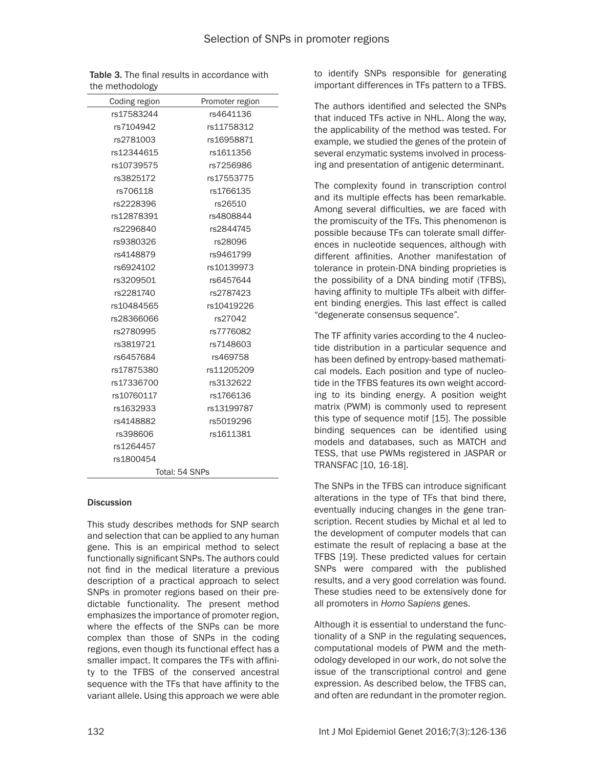| Coding region | Promoter region |
|---------------|-----------------|
| rs17583244    | rs4641136       |
| rs7104942     | rs11758312      |
| rs2781003     | rs16958871      |
| rs12344615    | rs1611356       |
| rs10739575    | rs7256986       |
| rs3825172     | rs17553775      |
| rs706118      | rs1766135       |
| rs2228396     | rs26510         |
| rs12878391    | rs4808844       |
| rs2296840     | rs2844745       |
| rs9380326     | rs28096         |
| rs4148879     | rs9461799       |
| rs6924102     | rs10139973      |
| rs3209501     | rs6457644       |
| rs2281740     | rs2787423       |
| rs10484565    | rs10419226      |
| rs28366066    | rs27042         |
| rs2780995     | rs7776082       |
| rs3819721     | rs7148603       |
| rs6457684     | rs469758        |
| rs17875380    | rs11205209      |
| rs17336700    | rs3132622       |
| rs10760117    | rs1766136       |
| rs1632933     | rs13199787      |
| rs4148882     | rs5019296       |
| rs398606      | rs1611381       |
| rs1264457     |                 |
| rs1800454     |                 |
|               | Total: 54 SNPs  |

Table 3. The final results in accordance with the methodology

#### **Discussion**

This study describes methods for SNP search and selection that can be applied to any human gene. This is an empirical method to select functionally significant SNPs. The authors could not find in the medical literature a previous description of a practical approach to select SNPs in promoter regions based on their predictable functionality. The present method emphasizes the importance of promoter region, where the effects of the SNPs can be more complex than those of SNPs in the coding regions, even though its functional effect has a smaller impact. It compares the TFs with affinity to the TFBS of the conserved ancestral sequence with the TFs that have affinity to the variant allele. Using this approach we were able

to identify SNPs responsible for generating important differences in TFs pattern to a TFBS.

The authors identified and selected the SNPs that induced TFs active in NHL. Along the way, the applicability of the method was tested. For example, we studied the genes of the protein of several enzymatic systems involved in processing and presentation of antigenic determinant.

The complexity found in transcription control and its multiple effects has been remarkable. Among several difficulties, we are faced with the promiscuity of the TFs. This phenomenon is possible because TFs can tolerate small differences in nucleotide sequences, although with different affinities. Another manifestation of tolerance in protein-DNA binding proprieties is the possibility of a DNA binding motif (TFBS), having affinity to multiple TFs albeit with different binding energies. This last effect is called "degenerate consensus sequence".

The TF affinity varies according to the 4 nucleotide distribution in a particular sequence and has been defined by entropy-based mathematical models. Each position and type of nucleotide in the TFBS features its own weight according to its binding energy. A position weight matrix (PWM) is commonly used to represent this type of sequence motif [15]. The possible binding sequences can be identified using models and databases, such as MATCH and TESS, that use PWMs registered in JASPAR or TRANSFAC [10, 16-18].

The SNPs in the TFBS can introduce significant alterations in the type of TFs that bind there, eventually inducing changes in the gene transcription. Recent studies by Michal et al led to the development of computer models that can estimate the result of replacing a base at the TFBS [19]. These predicted values for certain SNPs were compared with the published results, and a very good correlation was found. These studies need to be extensively done for all promoters in *Homo Sapiens* genes.

Although it is essential to understand the functionality of a SNP in the regulating sequences, computational models of PWM and the methodology developed in our work, do not solve the issue of the transcriptional control and gene expression. As described below, the TFBS can, and often are redundant in the promoter region.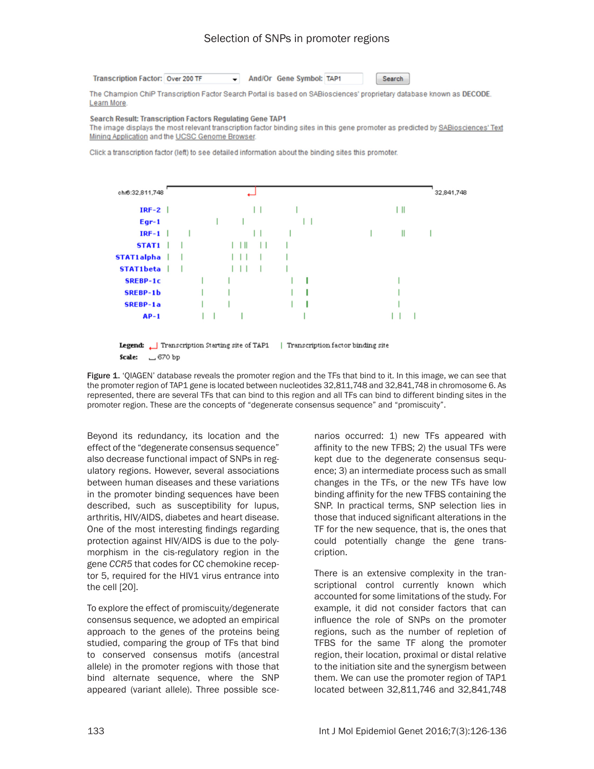# Selection of SNPs in promoter regions

**Transcription Factor: Over 200 TF** 

And/Or Gene Symbol: TAP1

Search

The Champion ChiP Transcription Factor Search Portal is based on SABiosciences' proprietary database known as DECODE. Learn More

#### **Search Result: Transcription Factors Regulating Gene TAP1**

The image displays the most relevant transcription factor binding sites in this gene promoter as predicted by SABiosciences' Text Mining Application and the UCSC Genome Browser.

Click a transcription factor (left) to see detailed information about the binding sites this promoter.

| chr6:32,811,748 |  |  |    |  |  |    | 32,841,748 |
|-----------------|--|--|----|--|--|----|------------|
| $IRF-2$         |  |  |    |  |  | ΙШ |            |
| $Egr-1$         |  |  |    |  |  |    |            |
| $IRF-1$         |  |  |    |  |  | Ш  |            |
| STAT1           |  |  | LШ |  |  |    |            |
| STAT1alpha      |  |  |    |  |  |    |            |
| STAT1beta       |  |  |    |  |  |    |            |
| <b>SREBP-1c</b> |  |  |    |  |  |    |            |
| <b>SREBP-1b</b> |  |  |    |  |  |    |            |
| <b>SREBP-1a</b> |  |  |    |  |  |    |            |
| $AP-1$          |  |  |    |  |  |    |            |
|                 |  |  |    |  |  |    |            |

**Legend:** Transcription Starting site of TAP1 | Transcription factor binding site Scale: 570 bp

Figure 1. 'QIAGEN' database reveals the promoter region and the TFs that bind to it. In this image, we can see that the promoter region of TAP1 gene is located between nucleotides 32,811,748 and 32,841,748 in chromosome 6. As represented, there are several TFs that can bind to this region and all TFs can bind to different binding sites in the promoter region. These are the concepts of "degenerate consensus sequence" and "promiscuity".

Beyond its redundancy, its location and the effect of the "degenerate consensus sequence" also decrease functional impact of SNPs in regulatory regions. However, several associations between human diseases and these variations in the promoter binding sequences have been described, such as susceptibility for lupus, arthritis, HIV/AIDS, diabetes and heart disease. One of the most interesting findings regarding protection against HIV/AIDS is due to the polymorphism in the cis-regulatory region in the gene *CCR5* that codes for CC chemokine receptor 5, required for the HIV1 virus entrance into the cell [20].

To explore the effect of promiscuity/degenerate consensus sequence, we adopted an empirical approach to the genes of the proteins being studied, comparing the group of TFs that bind to conserved consensus motifs (ancestral allele) in the promoter regions with those that bind alternate sequence, where the SNP appeared (variant allele). Three possible sce-

narios occurred: 1) new TFs appeared with affinity to the new TFBS; 2) the usual TFs were kept due to the degenerate consensus sequence; 3) an intermediate process such as small changes in the TFs, or the new TFs have low binding affinity for the new TFBS containing the SNP. In practical terms, SNP selection lies in those that induced significant alterations in the TF for the new sequence, that is, the ones that could potentially change the gene transcription.

There is an extensive complexity in the transcriptional control currently known which accounted for some limitations of the study. For example, it did not consider factors that can influence the role of SNPs on the promoter regions, such as the number of repletion of TFBS for the same TF along the promoter region, their location, proximal or distal relative to the initiation site and the synergism between them. We can use the promoter region of TAP1 located between 32,811,746 and 32,841,748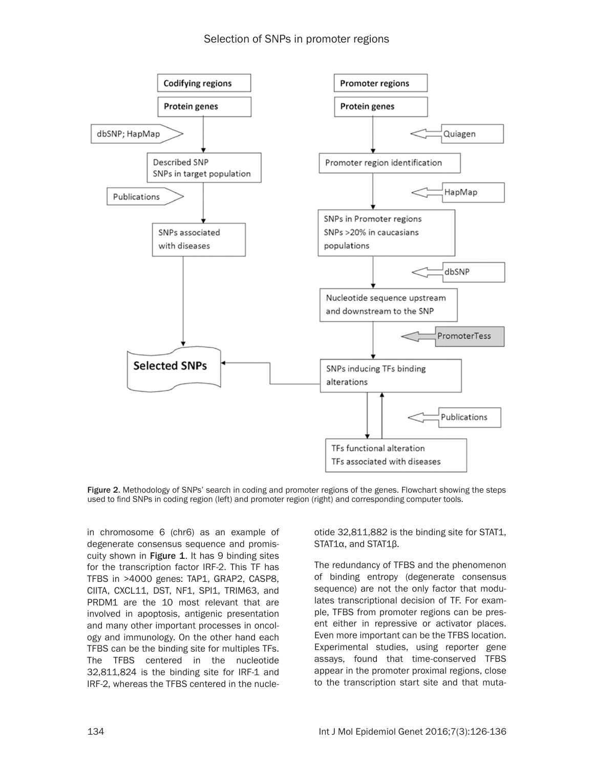

Figure 2. Methodology of SNPs' search in coding and promoter regions of the genes. Flowchart showing the steps used to find SNPs in coding region (left) and promoter region (right) and corresponding computer tools.

in chromosome 6 (chr6) as an example of degenerate consensus sequence and promiscuity shown in Figure 1. It has 9 binding sites for the transcription factor IRF-2. This TF has TFBS in >4000 genes: TAP1, GRAP2, CASP8, CIITA, CXCL11, DST, NF1, SPI1, TRIM63, and PRDM1 are the 10 most relevant that are involved in apoptosis, antigenic presentation and many other important processes in oncology and immunology. On the other hand each TFBS can be the binding site for multiples TFs. The TFBS centered in the nucleotide 32,811,824 is the binding site for IRF-1 and IRF-2, whereas the TFBS centered in the nucle-

otide 32,811,882 is the binding site for STAT1, STAT1α, and STAT1β.

The redundancy of TFBS and the phenomenon of binding entropy (degenerate consensus sequence) are not the only factor that modulates transcriptional decision of TF. For example, TFBS from promoter regions can be present either in repressive or activator places. Even more important can be the TFBS location. Experimental studies, using reporter gene assays, found that time-conserved TFBS appear in the promoter proximal regions, close to the transcription start site and that muta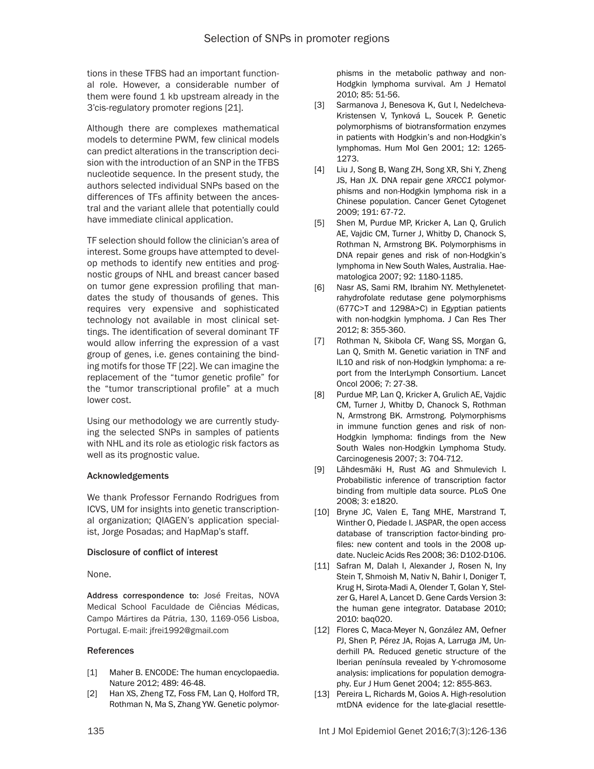tions in these TFBS had an important functional role. However, a considerable number of them were found 1 kb upstream already in the 3'cis-regulatory promoter regions [21].

Although there are complexes mathematical models to determine PWM, few clinical models can predict alterations in the transcription decision with the introduction of an SNP in the TFBS nucleotide sequence. In the present study, the authors selected individual SNPs based on the differences of TFs affinity between the ancestral and the variant allele that potentially could have immediate clinical application.

TF selection should follow the clinician's area of interest. Some groups have attempted to develop methods to identify new entities and prognostic groups of NHL and breast cancer based on tumor gene expression profiling that mandates the study of thousands of genes. This requires very expensive and sophisticated technology not available in most clinical settings. The identification of several dominant TF would allow inferring the expression of a vast group of genes, i.e. genes containing the binding motifs for those TF [22]. We can imagine the replacement of the "tumor genetic profile" for the "tumor transcriptional profile" at a much lower cost.

Using our methodology we are currently studying the selected SNPs in samples of patients with NHL and its role as etiologic risk factors as well as its prognostic value.

# Acknowledgements

We thank Professor Fernando Rodrigues from ICVS, UM for insights into genetic transcriptional organization; QIAGEN's application specialist, Jorge Posadas; and HapMap's staff.

#### Disclosure of conflict of interest

None.

Address correspondence to: José Freitas, NOVA Medical School Faculdade de Ciências Médicas, Campo Mártires da Pátria, 130, 1169-056 Lisboa, Portugal. E-mail: jfrei1992@gmail.com

#### References

- [1] Maher B. ENCODE: The human encyclopaedia. Nature 2012; 489: 46-48.
- [2] Han XS, Zheng TZ, Foss FM, Lan Q, Holford TR, Rothman N, Ma S, Zhang YW. Genetic polymor-

phisms in the metabolic pathway and non-Hodgkin lymphoma survival. Am J Hematol 2010; 85: 51-56.

- [3] Sarmanova J, Benesova K, Gut I, Nedelcheva-Kristensen V, Tynková L, Soucek P. Genetic polymorphisms of biotransformation enzymes in patients with Hodgkin's and non-Hodgkin's lymphomas. Hum Mol Gen 2001; 12: 1265- 1273.
- [4] Liu J, Song B, Wang ZH, Song XR, Shi Y, Zheng JS, Han JX. DNA repair gene *XRCC1* polymorphisms and non-Hodgkin lymphoma risk in a Chinese population. Cancer Genet Cytogenet 2009; 191: 67-72.
- [5] Shen M, Purdue MP, Kricker A, Lan Q, Grulich AE, Vajdic CM, Turner J, Whitby D, Chanock S, Rothman N, Armstrong BK. Polymorphisms in DNA repair genes and risk of non-Hodgkin's lymphoma in New South Wales, Australia. Haematologica 2007; 92: 1180-1185.
- [6] Nasr AS, Sami RM, Ibrahim NY. Methylenetetrahydrofolate redutase gene polymorphisms (677C>T and 1298A>C) in Egyptian patients with non-hodgkin lymphoma. J Can Res Ther 2012; 8: 355-360.
- [7] Rothman N, Skibola CF, Wang SS, Morgan G, Lan Q, Smith M. Genetic variation in TNF and IL10 and risk of non-Hodgkin lymphoma: a report from the InterLymph Consortium. Lancet Oncol 2006; 7: 27-38.
- [8] Purdue MP, Lan Q, Kricker A, Grulich AE, Vajdic CM, Turner J, Whitby D, Chanock S, Rothman N, Armstrong BK. Armstrong. Polymorphisms in immune function genes and risk of non-Hodgkin lymphoma: findings from the New South Wales non-Hodgkin Lymphoma Study. Carcinogenesis 2007; 3: 704-712.
- [9] Lãhdesmãki H, Rust AG and Shmulevich I. Probabilistic inference of transcription factor binding from multiple data source. PLoS One 2008; 3: e1820.
- [10] Bryne JC, Valen E, Tang MHE, Marstrand T, Winther O, Piedade I. JASPAR, the open access database of transcription factor-binding profiles: new content and tools in the 2008 update. Nucleic Acids Res 2008; 36: D102-D106.
- [11] Safran M, Dalah I, Alexander J, Rosen N, Iny Stein T, Shmoish M, Nativ N, Bahir I, Doniger T, Krug H, Sirota-Madi A, Olender T, Golan Y, Stelzer G, Harel A, Lancet D. Gene Cards Version 3: the human gene integrator. Database 2010; 2010: baq020.
- [12] Flores C, Maca-Meyer N, González AM, Oefner PJ, Shen P, Pérez JA, Rojas A, Larruga JM, Underhill PA. Reduced genetic structure of the Iberian península revealed by Y-chromosome analysis: implications for population demography. Eur J Hum Genet 2004; 12: 855-863.
- [13] Pereira L, Richards M, Goios A. High-resolution mtDNA evidence for the late-glacial resettle-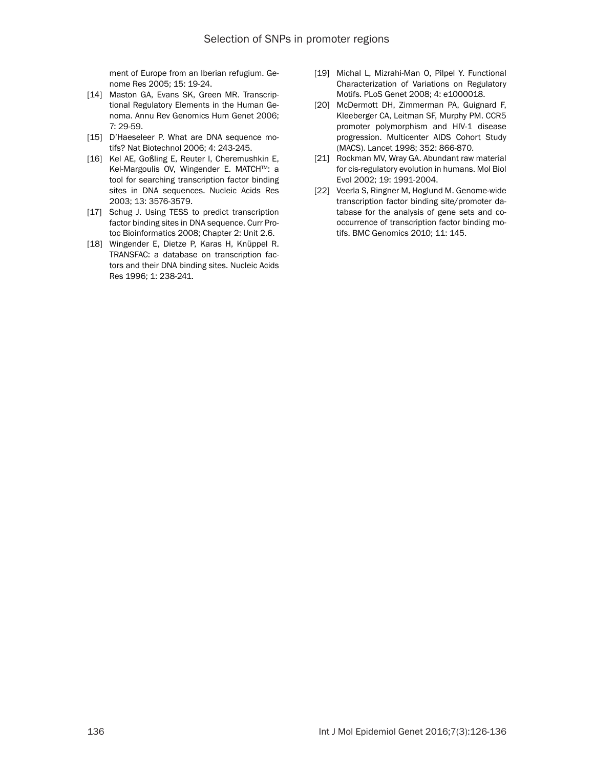ment of Europe from an Iberian refugium. Genome Res 2005; 15: 19-24.

- [14] Maston GA, Evans SK, Green MR. Transcriptional Regulatory Elements in the Human Genoma. Annu Rev Genomics Hum Genet 2006; 7: 29-59.
- [15] D'Haeseleer P. What are DNA sequence motifs? Nat Biotechnol 2006; 4: 243-245.
- [16] Kel AE, Goßling E, Reuter I, Cheremushkin E, Kel-Margoulis OV, Wingender E. MATCH™: a tool for searching transcription factor binding sites in DNA sequences. Nucleic Acids Res 2003; 13: 3576-3579.
- [17] Schug J. Using TESS to predict transcription factor binding sites in DNA sequence. Curr Protoc Bioinformatics 2008; Chapter 2: Unit 2.6.
- [18] Wingender E, Dietze P, Karas H, Knüppel R. TRANSFAC: a database on transcription factors and their DNA binding sites. Nucleic Acids Res 1996; 1: 238-241.
- [19] Michal L, Mizrahi-Man O, Pilpel Y. Functional Characterization of Variations on Regulatory Motifs. PLoS Genet 2008; 4: e1000018.
- [20] McDermott DH, Zimmerman PA, Guignard F, Kleeberger CA, Leitman SF, Murphy PM. CCR5 promoter polymorphism and HIV-1 disease progression. Multicenter AIDS Cohort Study (MACS). Lancet 1998; 352: 866-870.
- [21] Rockman MV, Wray GA. Abundant raw material for cis-regulatory evolution in humans. Mol Biol Evol 2002; 19: 1991-2004.
- [22] Veerla S, Ringner M, Hoglund M. Genome-wide transcription factor binding site/promoter database for the analysis of gene sets and cooccurrence of transcription factor binding motifs. BMC Genomics 2010; 11: 145.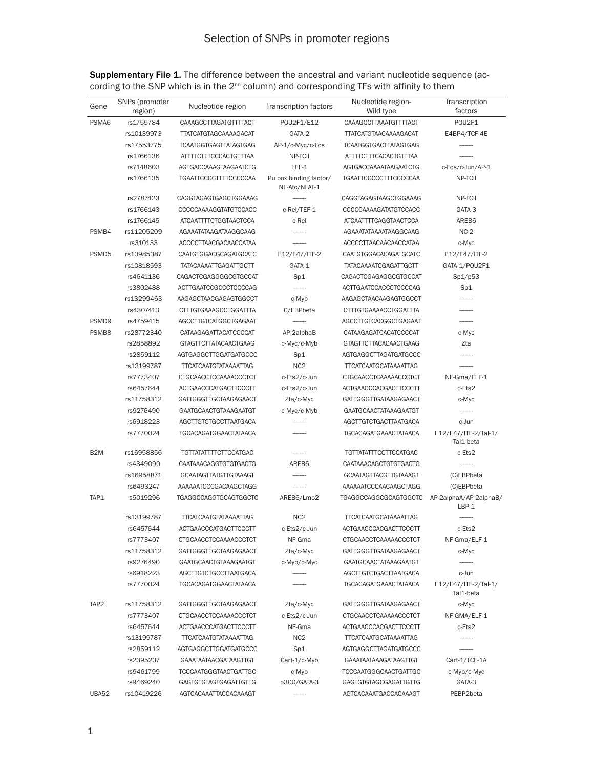<span id="page-11-0"></span>

| <b>Supplementary File 1.</b> The difference between the ancestral and variant nucleotide sequence (ac- |  |  |  |
|--------------------------------------------------------------------------------------------------------|--|--|--|
| cording to the SNP which is in the $2^{nd}$ column) and corresponding TFs with affinity to them        |  |  |  |

| Gene              | SNPs (promoter<br>region) | Nucleotide region             | Transcription factors                   | Nucleotide region-<br>Wild type | Transcription<br>factors          |
|-------------------|---------------------------|-------------------------------|-----------------------------------------|---------------------------------|-----------------------------------|
| PSMA6             | rs1755784                 | CAAAGCCTTAGATGTTTTACT         | POU2F1/E12                              | CAAAGCCTTAAATGTTTTACT           | POU2F1                            |
|                   | rs10139973                | <b>TTATCATGTAGCAAAAGACAT</b>  | GATA-2                                  | <b>TTATCATGTAACAAAAGACAT</b>    | E4BP4/TCF-4E                      |
|                   | rs17553775                | <b>TCAATGGTGAGTTATAGTGAG</b>  | AP-1/c-Myc/c-Fos                        | <b>TCAATGGTGACTTATAGTGAG</b>    |                                   |
|                   | rs1766136                 | ATTTTCTTTCCCACTGTTTAA         | NP-TCII                                 | ATTTTCTTTCACACTGTTTAA           |                                   |
|                   | rs7148603                 | AGTGACCAAAGTAAGAATCTG         | LEF-1                                   | AGTGACCAAAATAAGAATCTG           | c-Fos/c-Jun/AP-1                  |
|                   | rs1766135                 | TGAATTCCCCTTTTCCCCCAA         | Pu box binding factor/<br>NF-Atc/NFAT-1 | <b>TGAATTCCCCCTTTCCCCCAA</b>    | NP-TCII                           |
|                   | rs2787423                 | CAGGTAGAGTGAGCTGGAAAG         |                                         | CAGGTAGAGTAAGCTGGAAAG           | NP-TCII                           |
|                   | rs1766143                 | CCCCCAAAAGGTATGTCCACC         | c-Rel/TEF-1                             | CCCCCAAAAGATATGTCCACC           | GATA-3                            |
|                   | rs1766145                 | ATCAATTTTCTGGTAACTCCA         | c-Rel                                   | ATCAATTTTCAGGTAACTCCA           | AREB6                             |
| PSMB4             | rs11205209                | AGAAATATAAGATAAGGCAAG         |                                         | AGAAATATAAAATAAGGCAAG           | $NC-2$                            |
|                   | rs310133                  | ACCCCTTAACGACAACCATAA         |                                         | ACCCCTTAACAACAACCATAA           | c-Myc                             |
| PSMD5             | rs10985387                | <b>CAATGTGGACGCAGATGCATC</b>  | E12/E47/ITF-2                           | <b>CAATGTGGACACAGATGCATC</b>    | E12/E47/ITF-2                     |
|                   | rs10818593                | <b>TATACAAAATTGAGATTGCTT</b>  | GATA-1                                  | <b>TATACAAAATCGAGATTGCTT</b>    | GATA-1/POU2F1                     |
|                   | rs4641136                 | CAGACTCGAGGGGCGTGCCAT         | Sp1                                     | CAGACTCGAGAGGCGTGCCAT           | Sp1/p53                           |
|                   | rs3802488                 | <b>ACTTGAATCCGCCCTCCCCAG</b>  | $\frac{1}{2}$                           | ACTTGAATCCACCCTCCCCAG           | Sp1                               |
|                   | rs13299463                | AAGAGCTAACGAGAGTGGCCT         | c-Myb                                   | AAGAGCTAACAAGAGTGGCCT           |                                   |
|                   | rs4307413                 | CTTTGTGAAAGCCTGGATTTA         | C/EBPbeta                               | CTTTGTGAAAACCTGGATTTA           |                                   |
| PSMD9             | rs4759415                 | <b>AGCCTTGTCATGGCTGAGAAT</b>  |                                         | AGCCTTGTCACGGCTGAGAAT           |                                   |
| PSMB <sub>8</sub> | rs28772340                | CATAAGAGATTACATCCCCAT         | AP-2alphaB                              | CATAAGAGATCACATCCCCAT           | c-Myc                             |
|                   | rs2858892                 | GTAGTTCTTATACAACTGAAG         | c-Myc/c-Myb                             | GTAGTTCTTACACAACTGAAG           | Zta                               |
|                   | rs2859112                 | AGTGAGGCTTGGATGATGCCC         | Sp1                                     | AGTGAGGCTTAGATGATGCCC           |                                   |
|                   | rs13199787                | <b>TTCATCAATGTATAAAATTAG</b>  | NC <sub>2</sub>                         | <b>TTCATCAATGCATAAAATTAG</b>    |                                   |
|                   | rs7773407                 | CTGCAACCTCCAAAACCCTCT         | c-Ets2/c-Jun                            | CTGCAACCTCAAAAACCCTCT           | NF-Gma/ELF-1                      |
|                   | rs6457644                 | ACTGAACCCATGACTTCCCTT         | c-Ets2/c-Jun                            | ACTGAACCCACGACTTCCCTT           | c-Ets2                            |
|                   | rs11758312                | GATTGGGTTGCTAAGAGAACT         | Zta/c-Myc                               | GATTGGGTTGATAAGAGAACT           | c-Myc                             |
|                   | rs9276490                 | <b>GAATGCAACTGTAAAGAATGT</b>  | c-Myc/c-Myb                             | <b>GAATGCAACTATAAAGAATGT</b>    |                                   |
|                   | rs6918223                 | AGCTTGTCTGCCTTAATGACA         |                                         | <b>AGCTTGTCTGACTTAATGACA</b>    | c-Jun                             |
|                   | rs7770024                 | TGCACAGATGGAACTATAACA         |                                         | <b>TGCACAGATGAAACTATAACA</b>    | E12/E47/ITF-2/Tal-1/<br>Tal1-beta |
| B <sub>2</sub> M  | rs16958856                | <b>TGTTATATTTTTCTTCCATGAC</b> |                                         | <b>TGTTATATTTCCTTCCATGAC</b>    | c-Ets2                            |
|                   | rs4349090                 | <b>CAATAAACAGGTGTGTGACTG</b>  | AREB6                                   | <b>CAATAAACAGCTGTGTGACTG</b>    |                                   |
|                   | rs16958871                | <b>GCAATAGTTATGTTGTAAAGT</b>  |                                         | <b>GCAATAGTTACGTTGTAAAGT</b>    | (C)EBPbeta                        |
|                   | rs6493247                 | AAAAAATCCCGACAAGCTAGG         |                                         | AAAAAATCCCAACAAGCTAGG           | (C)EBPbeta                        |
| TAP1              | rs5019296                 | TGAGGCCAGGTGCAGTGGCTC         | AREB6/Lmo2                              | TGAGGCCAGGCGCAGTGGCTC           | AP-2alphaA/AP-2alphaB/<br>LBP-1   |
|                   | rs13199787                | <b>TTCATCAATGTATAAAATTAG</b>  | NC <sub>2</sub>                         | <b>TTCATCAATGCATAAAATTAG</b>    |                                   |
|                   | rs6457644                 | ACTGAACCCATGACTTCCCTT         | c-Ets2/c-Jun                            | ACTGAACCCACGACTTCCCTT           | c-Ets2                            |
|                   | rs7773407                 | CTGCAACCTCCAAAACCCTCT         | NF-Gma                                  | CTGCAACCTCAAAAACCCTCT           | NF-Gma/ELF-1                      |
|                   | rs11758312                | GATTGGGTTGCTAAGAGAACT         | Zta/c-Myc                               | GATTGGGTTGATAAGAGAACT           | c-Myc                             |
|                   | rs9276490                 | GAATGCAACTGTAAAGAATGT         | c-Myb/c-Myc                             | GAATGCAACTATAAAGAATGT           |                                   |
|                   | rs6918223                 | AGCTTGTCTGCCTTAATGACA         |                                         | AGCTTGTCTGACTTAATGACA           | c-Jun                             |
|                   | rs7770024                 | <b>TGCACAGATGGAACTATAACA</b>  |                                         | <b>TGCACAGATGAAACTATAACA</b>    | E12/E47/ITF-2/Tal-1/<br>Tal1-beta |
| TAP <sub>2</sub>  | rs11758312                | <b>GATTGGGTTGCTAAGAGAACT</b>  | Zta/c-Myc                               | GATTGGGTTGATAAGAGAACT           | c-Myc                             |
|                   | rs7773407                 | CTGCAACCTCCAAAACCCTCT         | c-Ets2/c-Jun                            | CTGCAACCTCAAAAACCCTCT           | NF-GMA/ELF-1                      |
|                   | rs6457644                 | ACTGAACCCATGACTTCCCTT         | NF-Gma                                  | ACTGAACCCACGACTTCCCTT           | c-Ets2                            |
|                   | rs13199787                | <b>TTCATCAATGTATAAAATTAG</b>  | NC <sub>2</sub>                         | <b>TTCATCAATGCATAAAATTAG</b>    |                                   |
|                   | rs2859112                 | AGTGAGGCTTGGATGATGCCC         | Sp1                                     | AGTGAGGCTTAGATGATGCCC           |                                   |
|                   | rs2395237                 | <b>GAAATAATAACGATAAGTTGT</b>  | Cart-1/c-Myb                            | GAAATAATAAAGATAAGTTGT           | Cart-1/TCF-1A                     |
|                   | rs9461799                 | <b>TCCCAATGGGTAACTGATTGC</b>  | c-Myb                                   | <b>TCCCAATGGGCAACTGATTGC</b>    | c-Myb/c-Myc                       |
|                   | rs9469240                 | <b>GAGTGTGTAGTGAGATTGTTG</b>  | p300/GATA-3                             | <b>GAGTGTGTAGCGAGATTGTTG</b>    | GATA-3                            |
| UBA52             | rs10419226                | AGTCACAAATTACCACAAAGT         |                                         | AGTCACAAATGACCACAAAGT           | PEBP2beta                         |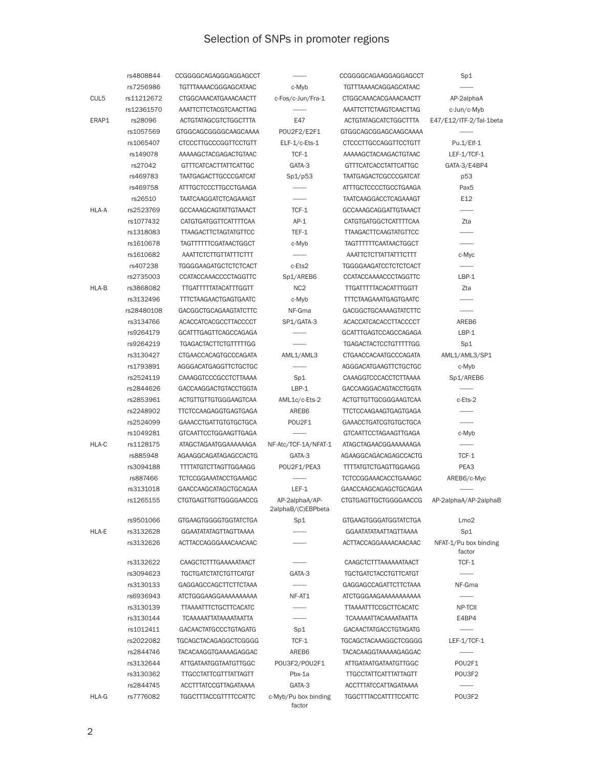# Selection of SNPs in promoter regions

|       | rs4808844              | CCGGGGCAGAGGGAGGAGCCT                          | --------                             | CCGGGGCAGAAGGAGGAGCCT                          | Sp1                             |
|-------|------------------------|------------------------------------------------|--------------------------------------|------------------------------------------------|---------------------------------|
|       | rs7256986              | <b>TGTTTAAAACGGGAGCATAAC</b>                   | c-Myb                                | <b>TGTTTAAAACAGGAGCATAAC</b>                   |                                 |
| CUL5  | rs11212672             | CTGGCAAACATGAAACAACTT                          | c-Fos/c-Jun/Fra-1                    | CTGGCAAACACGAAACAACTT                          | AP-2alphaA                      |
|       | rs12361570             | AAATTCTTCTACGTCAACTTAG                         |                                      | AAATTCTTCTAAGTCAACTTAG                         | c-Jun/c-Myb                     |
| ERAP1 | rs28096                | <b>ACTGTATAGCGTCTGGCTTTA</b>                   | E47                                  | <b>ACTGTATAGCATCTGGCTTTA</b>                   | E47/E12/ITF-2/Tal-1beta         |
|       | rs1057569              | GTGGCAGCGGGGCAAGCAAAA                          | POU2F2/E2F1                          | GTGGCAGCGGAGCAAGCAAAA                          |                                 |
|       | rs1065407              | <b>CTCCCTTGCCCGGTTCCTGTT</b>                   | ELF-1/c-Ets-1                        | <b>CTCCCTTGCCAGGTTCCTGTT</b>                   | Pu.1/Elf-1                      |
|       | rs149078               | AAAAAGCTACGAGACTGTAAC                          | TCF-1                                | AAAAAGCTACAAGACTGTAAC                          | LEF-1/TCF-1                     |
|       | rs27042                | GTTTCATCACTTATTCATTGC                          | GATA-3                               | GTTTCATCACCTATTCATTGC                          | GATA-3/E4BP4                    |
|       | rs469783               | <b>TAATGAGACTTGCCCGATCAT</b>                   | Sp1/p53                              | <b>TAATGAGACTCGCCCGATCAT</b>                   | p53                             |
|       | rs469758               | ATTTGCTCCCTTGCCTGAAGA                          |                                      | ATTTGCTCCCCTGCCTGAAGA                          | Pax <sub>5</sub>                |
|       | rs26510                | <b>TAATCAAGGATCTCAGAAAGT</b>                   |                                      | <b>TAATCAAGGACCTCAGAAAGT</b>                   | E12                             |
| HLA-A | rs2523769              | <b>GCCAAAGCAGTATTGTAAACT</b>                   | TCF-1                                | GCCAAAGCAGGATTGTAAACT                          |                                 |
|       | rs1077432              | CATGTGATGGTTCATTTTCAA                          | $AP-1$                               | CATGTGATGGCTCATTTTCAA                          | Zta                             |
|       | rs1318083              | <b>TTAAGACTTCTAGTATGTTCC</b>                   | TEF-1                                | <b>TTAAGACTTCAAGTATGTTCC</b>                   |                                 |
|       | rs1610678              | TAGTTTTTTCGATAACTGGCT                          | c-Myb                                | <b>TAGTTTTTTCAATAACTGGCT</b>                   |                                 |
|       | rs1610682              | AAATTCTCTTGTTATTTCTTT                          |                                      | AAATTCTCTTATTATTTCTTT                          | c-Myc                           |
|       | rs407238               | <b>TGGGGAAGATGCTCTCTCACT</b>                   | c-Ets2                               | <b>TGGGGAAGATCCTCTCTCACT</b>                   |                                 |
|       | rs2735003              | CCATACCAAACCCCTAGGTTC                          | Sp1/AREB6                            | CCATACCAAAACCCTAGGTTC                          | $LBP-1$                         |
| HLA-B | rs3868082              | <b>TTGATTTTTATACATTTGGTT</b>                   | NC <sub>2</sub>                      | <b>TTGATTTTTACACATTTGGTT</b>                   | Zta                             |
|       | rs3132496              | <b>TTTCTAAGAACTGAGTGAATC</b>                   | c-Myb                                | <b>TTTCTAAGAAATGAGTGAATC</b>                   |                                 |
|       | rs28480108             | <b>GACGGCTGCAGAAGTATCTTC</b>                   | NF-Gma                               | <b>GACGGCTGCAAAAGTATCTTC</b>                   |                                 |
|       | rs3134766              | ACACCATCACGCCTTACCCCT                          | SP1/GATA-3                           | ACACCATCACACCTTACCCCT                          | AREB6                           |
|       | rs9264179              | GCATTTGAGTTCAGCCAGAGA                          |                                      | GCATTTGAGTCCAGCCAGAGA                          | $LBP-1$                         |
|       | rs9264219              | <b>TGAGACTACTTCTGTTTTTGG</b>                   | --------                             | <b>TGAGACTACTCCTGTTTTTGG</b>                   | Sp1                             |
|       | rs3130427              | CTGAACCACAGTGCCCAGATA                          |                                      | <b>CTGAACCACAATGCCCAGATA</b>                   |                                 |
|       |                        |                                                | AML1/AML3                            |                                                | AML1/AML3/SP1                   |
|       | rs1793891<br>rs2524119 | AGGGACATGAGGTTCTGCTGC<br>CAAAGGTCCCGCCTCTTAAAA | Sp1                                  | AGGGACATGAAGTTCTGCTGC<br>CAAAGGTCCCACCTCTTAAAA | c-Myb<br>Sp1/AREB6              |
|       |                        |                                                | LBP-1                                |                                                |                                 |
|       | rs2844626              | GACCAAGGACTGTACCTGGTA                          |                                      | GACCAAGGACAGTACCTGGTA                          |                                 |
|       | rs2853961              | ACTGTTGTTGTGGGAAGTCAA                          | AML1c/c-Ets-2                        | ACTGTTGTTGCGGGAAGTCAA                          | c-Ets-2                         |
|       | rs2248902              | TTCTCCAAGAGGTGAGTGAGA                          | AREB6                                | TTCTCCAAGAAGTGAGTGAGA                          |                                 |
|       | rs2524099              | <b>GAAACCTGATTGTGTGCTGCA</b>                   | POU2F1                               | GAAACCTGATCGTGTGCTGCA                          |                                 |
|       | rs1049281              | GTCAATTCCTGGAAGTTGAGA                          |                                      | GTCAATTCCTAGAAGTTGAGA                          | c-Myb                           |
| HLA-C | rs1128175              | ATAGCTAGAATGGAAAAAAGA                          | NF-Atc/TCF-1A/NFAT-1                 | ATAGCTAGAACGGAAAAAAGA                          | ---------                       |
|       | rs885948               | AGAAGGCAGATAGAGCCACTG                          | GATA-3                               | AGAAGGCAGACAGAGCCACTG                          | TCF-1                           |
|       | rs3094188              | <b>TTTTATGTCTTAGTTGGAAGG</b>                   | POU2F1/PEA3                          | <b>TTTTATGTCTGAGTTGGAAGG</b>                   | PEA3                            |
|       | rs887466               | TCTCCGGAAATACCTGAAAGC                          |                                      | TCTCCGGAAACACCTGAAAGC                          | AREB6/c-Myc                     |
|       | rs3131018              | GAACCAAGCATAGCTGCAGAA                          | LEF-1                                | GAACCAAGCAGAGCTGCAGAA                          |                                 |
|       | rs1265155              | <b>CTGTGAGTTGTTGGGGAACCG</b>                   | AP-2alphaA/AP-<br>2alphaB/(C)EBPbeta | CTGTGAGTTGCTGGGGAACCG                          | AP-2alphaA/AP-2alphaB           |
|       | rs9501066              | <b>GTGAAGTGGGGTGGTATCTGA</b>                   | Sp1                                  | GTGAAGTGGGATGGTATCTGA                          | Lmo <sub>2</sub>                |
| HLA-E | rs3132628              | <b>GGAATATATAGTTAGTTAAAA</b>                   |                                      | <b>GGAATATATAATTAGTTAAAA</b>                   | Sp1                             |
|       | rs3132626              | ACTTACCAGGGAAACAACAAC                          |                                      | ACTTACCAGGAAAACAACAAC                          | NFAT-1/Pu box binding<br>factor |
|       | rs3132622              | CAAGCTCTTTGAAAAATAACT                          |                                      | CAAGCTCTTTAAAAAATAACT                          | TCF-1                           |
|       | rs3094623              | <b>TGCTGATCTATCTGTTCATGT</b>                   | GATA-3                               | <b>TGCTGATCTACCTGTTCATGT</b>                   |                                 |
|       | rs3130133              | GAGGAGCCAGCTTCTTCTAAA                          |                                      | <b>GAGGAGCCAGATTCTTCTAAA</b>                   | NF-Gma                          |
|       | rs6936943              | ATCTGGGAAGGAAAAAAAAAA                          | NF-AT1                               | ATCTGGGAAGAAAAAAAAAAA                          |                                 |
|       | rs3130139              | <b>TTAAAATTTCTGCTTCACATC</b>                   |                                      | <b>TTAAAATTTCCGCTTCACATC</b>                   | NP-TCII                         |
|       | rs3130144              | <b>TCAAAAATTATAAAATAATTA</b>                   |                                      | <b>TCAAAAATTACAAAATAATTA</b>                   | E4BP4                           |
|       | rs1012411              | <b>GACAACTATGCCCTGTAGATG</b>                   | Sp1                                  | <b>GACAACTATGACCTGTAGATG</b>                   |                                 |
|       | rs2022082              | TGCAGCTACAGAGGCTCGGGG                          | TCF-1                                | <b>TGCAGCTACAAAGGCTCGGGG</b>                   | LEF-1/TCF-1                     |
|       | rs2844746              | TACACAAGGTGAAAAGAGGAC                          | AREB6                                | TACACAAGGTAAAAAGAGGAC                          |                                 |
|       | rs3132644              | ATTGATAATGGTAATGTTGGC                          | POU3F2/POU2F1                        | <b>ATTGATAATGATAATGTTGGC</b>                   | POU2F1                          |
|       | rs3130362              | <b>TTGCCTATTCGTTTATTAGTT</b>                   | Pbx-1a                               | <b>TTGCCTATTCATTTATTAGTT</b>                   | POU3F2                          |
|       | rs2844745              | ACCTTTATCCGTTAGATAAAA                          | GATA-3                               | ACCTTTATCCATTAGATAAAA                          |                                 |
| HLA-G | rs7776082              | TGGCTTTACCGTTTTCCATTC                          | c-Myb/Pu box binding<br>factor       | <b>TGGCTTTACCATTTTCCATTC</b>                   | POU3F2                          |